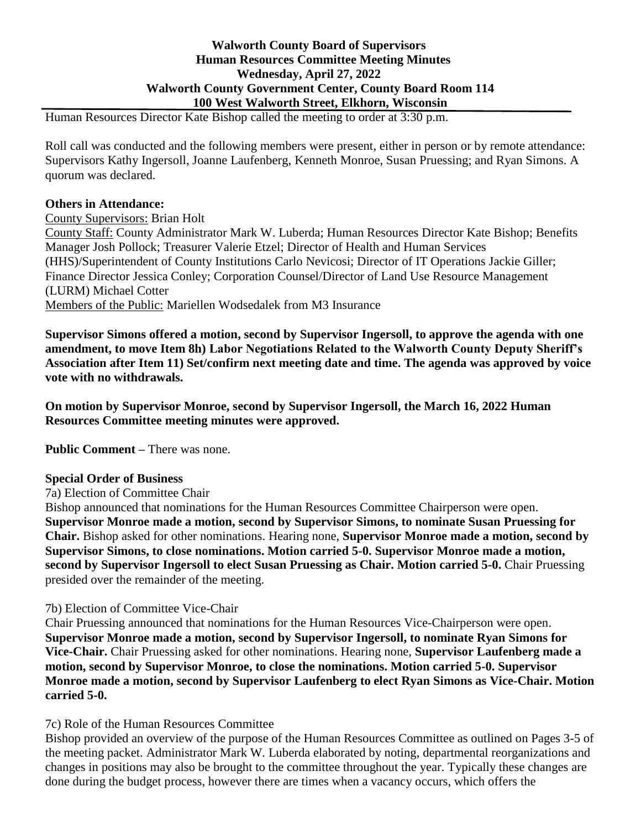# **Walworth County Board of Supervisors Human Resources Committee Meeting Minutes Wednesday, April 27, 2022 Walworth County Government Center, County Board Room 114 100 West Walworth Street, Elkhorn, Wisconsin**

Human Resources Director Kate Bishop called the meeting to order at 3:30 p.m.

Roll call was conducted and the following members were present, either in person or by remote attendance: Supervisors Kathy Ingersoll, Joanne Laufenberg, Kenneth Monroe, Susan Pruessing; and Ryan Simons. A quorum was declared.

## **Others in Attendance:**

#### County Supervisors: Brian Holt

County Staff: County Administrator Mark W. Luberda; Human Resources Director Kate Bishop; Benefits Manager Josh Pollock; Treasurer Valerie Etzel; Director of Health and Human Services (HHS)/Superintendent of County Institutions Carlo Nevicosi; Director of IT Operations Jackie Giller; Finance Director Jessica Conley; Corporation Counsel/Director of Land Use Resource Management (LURM) Michael Cotter Members of the Public: Mariellen Wodsedalek from M3 Insurance

**Supervisor Simons offered a motion, second by Supervisor Ingersoll, to approve the agenda with one amendment, to move Item 8h) Labor Negotiations Related to the Walworth County Deputy Sheriff's Association after Item 11) Set/confirm next meeting date and time. The agenda was approved by voice vote with no withdrawals.**

**On motion by Supervisor Monroe, second by Supervisor Ingersoll, the March 16, 2022 Human Resources Committee meeting minutes were approved.**

**Public Comment –** There was none.

#### **Special Order of Business**

7a) Election of Committee Chair

Bishop announced that nominations for the Human Resources Committee Chairperson were open. **Supervisor Monroe made a motion, second by Supervisor Simons, to nominate Susan Pruessing for Chair.** Bishop asked for other nominations. Hearing none, **Supervisor Monroe made a motion, second by Supervisor Simons, to close nominations. Motion carried 5-0. Supervisor Monroe made a motion, second by Supervisor Ingersoll to elect Susan Pruessing as Chair. Motion carried 5-0.** Chair Pruessing presided over the remainder of the meeting.

## 7b) Election of Committee Vice-Chair

Chair Pruessing announced that nominations for the Human Resources Vice-Chairperson were open. **Supervisor Monroe made a motion, second by Supervisor Ingersoll, to nominate Ryan Simons for Vice-Chair.** Chair Pruessing asked for other nominations. Hearing none, **Supervisor Laufenberg made a motion, second by Supervisor Monroe, to close the nominations. Motion carried 5-0. Supervisor Monroe made a motion, second by Supervisor Laufenberg to elect Ryan Simons as Vice-Chair. Motion carried 5-0.**

#### 7c) Role of the Human Resources Committee

Bishop provided an overview of the purpose of the Human Resources Committee as outlined on Pages 3-5 of the meeting packet. Administrator Mark W. Luberda elaborated by noting, departmental reorganizations and changes in positions may also be brought to the committee throughout the year. Typically these changes are done during the budget process, however there are times when a vacancy occurs, which offers the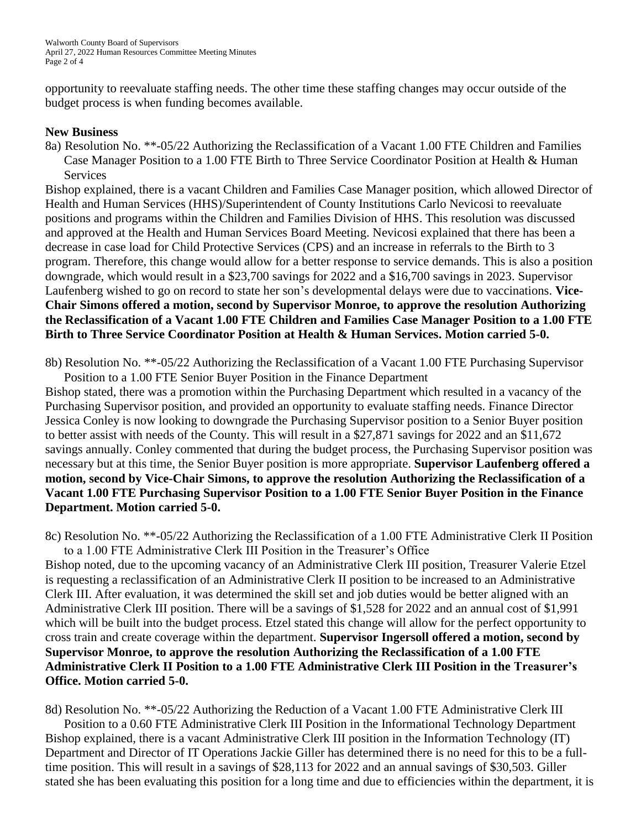opportunity to reevaluate staffing needs. The other time these staffing changes may occur outside of the budget process is when funding becomes available.

## **New Business**

8a) Resolution No. \*\*-05/22 Authorizing the Reclassification of a Vacant 1.00 FTE Children and Families Case Manager Position to a 1.00 FTE Birth to Three Service Coordinator Position at Health & Human **Services** 

Bishop explained, there is a vacant Children and Families Case Manager position, which allowed Director of Health and Human Services (HHS)/Superintendent of County Institutions Carlo Nevicosi to reevaluate positions and programs within the Children and Families Division of HHS. This resolution was discussed and approved at the Health and Human Services Board Meeting. Nevicosi explained that there has been a decrease in case load for Child Protective Services (CPS) and an increase in referrals to the Birth to 3 program. Therefore, this change would allow for a better response to service demands. This is also a position downgrade, which would result in a \$23,700 savings for 2022 and a \$16,700 savings in 2023. Supervisor Laufenberg wished to go on record to state her son's developmental delays were due to vaccinations. **Vice-Chair Simons offered a motion, second by Supervisor Monroe, to approve the resolution Authorizing the Reclassification of a Vacant 1.00 FTE Children and Families Case Manager Position to a 1.00 FTE Birth to Three Service Coordinator Position at Health & Human Services. Motion carried 5-0.**

8b) Resolution No. \*\*-05/22 Authorizing the Reclassification of a Vacant 1.00 FTE Purchasing Supervisor Position to a 1.00 FTE Senior Buyer Position in the Finance Department

Bishop stated, there was a promotion within the Purchasing Department which resulted in a vacancy of the Purchasing Supervisor position, and provided an opportunity to evaluate staffing needs. Finance Director Jessica Conley is now looking to downgrade the Purchasing Supervisor position to a Senior Buyer position to better assist with needs of the County. This will result in a \$27,871 savings for 2022 and an \$11,672 savings annually. Conley commented that during the budget process, the Purchasing Supervisor position was necessary but at this time, the Senior Buyer position is more appropriate. **Supervisor Laufenberg offered a motion, second by Vice-Chair Simons, to approve the resolution Authorizing the Reclassification of a Vacant 1.00 FTE Purchasing Supervisor Position to a 1.00 FTE Senior Buyer Position in the Finance Department. Motion carried 5-0.**

8c) Resolution No. \*\*-05/22 Authorizing the Reclassification of a 1.00 FTE Administrative Clerk II Position to a 1.00 FTE Administrative Clerk III Position in the Treasurer's Office

Bishop noted, due to the upcoming vacancy of an Administrative Clerk III position, Treasurer Valerie Etzel is requesting a reclassification of an Administrative Clerk II position to be increased to an Administrative Clerk III. After evaluation, it was determined the skill set and job duties would be better aligned with an Administrative Clerk III position. There will be a savings of \$1,528 for 2022 and an annual cost of \$1,991 which will be built into the budget process. Etzel stated this change will allow for the perfect opportunity to cross train and create coverage within the department. **Supervisor Ingersoll offered a motion, second by Supervisor Monroe, to approve the resolution Authorizing the Reclassification of a 1.00 FTE Administrative Clerk II Position to a 1.00 FTE Administrative Clerk III Position in the Treasurer's Office. Motion carried 5-0.**

8d) Resolution No. \*\*-05/22 Authorizing the Reduction of a Vacant 1.00 FTE Administrative Clerk III

Position to a 0.60 FTE Administrative Clerk III Position in the Informational Technology Department Bishop explained, there is a vacant Administrative Clerk III position in the Information Technology (IT) Department and Director of IT Operations Jackie Giller has determined there is no need for this to be a fulltime position. This will result in a savings of \$28,113 for 2022 and an annual savings of \$30,503. Giller stated she has been evaluating this position for a long time and due to efficiencies within the department, it is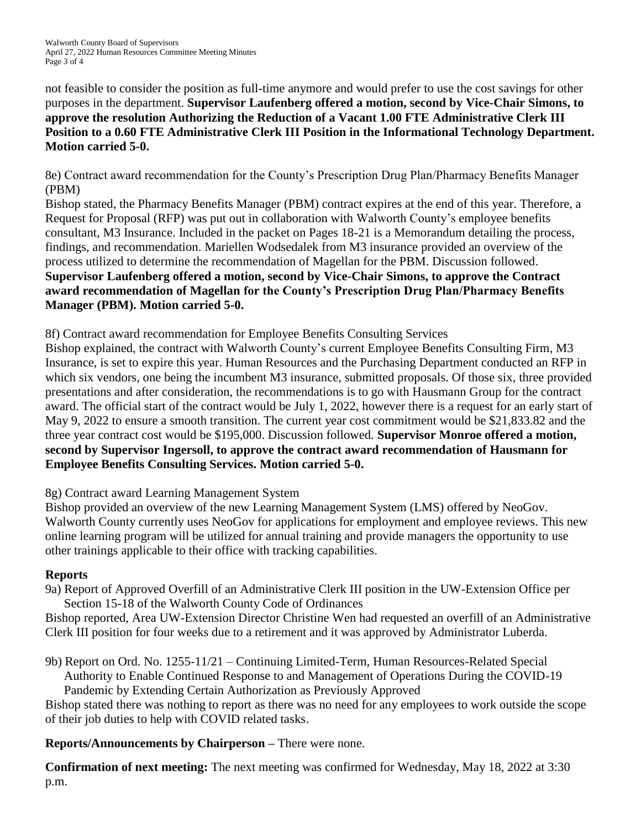Walworth County Board of Supervisors April 27, 2022 Human Resources Committee Meeting Minutes Page 3 of 4

not feasible to consider the position as full-time anymore and would prefer to use the cost savings for other purposes in the department. **Supervisor Laufenberg offered a motion, second by Vice-Chair Simons, to approve the resolution Authorizing the Reduction of a Vacant 1.00 FTE Administrative Clerk III Position to a 0.60 FTE Administrative Clerk III Position in the Informational Technology Department. Motion carried 5-0.**

8e) Contract award recommendation for the County's Prescription Drug Plan/Pharmacy Benefits Manager (PBM)

Bishop stated, the Pharmacy Benefits Manager (PBM) contract expires at the end of this year. Therefore, a Request for Proposal (RFP) was put out in collaboration with Walworth County's employee benefits consultant, M3 Insurance. Included in the packet on Pages 18-21 is a Memorandum detailing the process, findings, and recommendation. Mariellen Wodsedalek from M3 insurance provided an overview of the process utilized to determine the recommendation of Magellan for the PBM. Discussion followed. **Supervisor Laufenberg offered a motion, second by Vice-Chair Simons, to approve the Contract award recommendation of Magellan for the County's Prescription Drug Plan/Pharmacy Benefits Manager (PBM). Motion carried 5-0.**

8f) Contract award recommendation for Employee Benefits Consulting Services

Bishop explained, the contract with Walworth County's current Employee Benefits Consulting Firm, M3 Insurance, is set to expire this year. Human Resources and the Purchasing Department conducted an RFP in which six vendors, one being the incumbent M3 insurance, submitted proposals. Of those six, three provided presentations and after consideration, the recommendations is to go with Hausmann Group for the contract award. The official start of the contract would be July 1, 2022, however there is a request for an early start of May 9, 2022 to ensure a smooth transition. The current year cost commitment would be \$21,833.82 and the three year contract cost would be \$195,000. Discussion followed. **Supervisor Monroe offered a motion, second by Supervisor Ingersoll, to approve the contract award recommendation of Hausmann for Employee Benefits Consulting Services. Motion carried 5-0.**

8g) Contract award Learning Management System

Bishop provided an overview of the new Learning Management System (LMS) offered by NeoGov. Walworth County currently uses NeoGov for applications for employment and employee reviews. This new online learning program will be utilized for annual training and provide managers the opportunity to use other trainings applicable to their office with tracking capabilities.

## **Reports**

9a) Report of Approved Overfill of an Administrative Clerk III position in the UW-Extension Office per Section 15-18 of the Walworth County Code of Ordinances

Bishop reported, Area UW-Extension Director Christine Wen had requested an overfill of an Administrative Clerk III position for four weeks due to a retirement and it was approved by Administrator Luberda.

9b) Report on Ord. No. 1255-11/21 – Continuing Limited-Term, Human Resources-Related Special Authority to Enable Continued Response to and Management of Operations During the COVID-19 Pandemic by Extending Certain Authorization as Previously Approved

Bishop stated there was nothing to report as there was no need for any employees to work outside the scope of their job duties to help with COVID related tasks.

**Reports/Announcements by Chairperson –** There were none.

**Confirmation of next meeting:** The next meeting was confirmed for Wednesday, May 18, 2022 at 3:30 p.m.